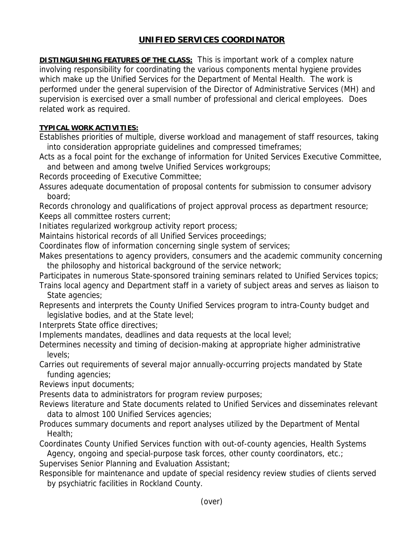## **UNIFIED SERVICES COORDINATOR**

**DISTINGUISHING FEATURES OF THE CLASS:** This is important work of a complex nature involving responsibility for coordinating the various components mental hygiene provides which make up the Unified Services for the Department of Mental Health. The work is performed under the general supervision of the Director of Administrative Services (MH) and supervision is exercised over a small number of professional and clerical employees. Does related work as required.

## **TYPICAL WORK ACTIVITIES:**

Establishes priorities of multiple, diverse workload and management of staff resources, taking into consideration appropriate guidelines and compressed timeframes;

Acts as a focal point for the exchange of information for United Services Executive Committee, and between and among twelve Unified Services workgroups;

Records proceeding of Executive Committee;

Assures adequate documentation of proposal contents for submission to consumer advisory board;

Records chronology and qualifications of project approval process as department resource; Keeps all committee rosters current;

Initiates regularized workgroup activity report process;

Maintains historical records of all Unified Services proceedings;

Coordinates flow of information concerning single system of services;

Makes presentations to agency providers, consumers and the academic community concerning the philosophy and historical background of the service network;

Participates in numerous State-sponsored training seminars related to Unified Services topics;

Trains local agency and Department staff in a variety of subject areas and serves as liaison to State agencies;

Represents and interprets the County Unified Services program to intra-County budget and legislative bodies, and at the State level;

Interprets State office directives;

Implements mandates, deadlines and data requests at the local level;

Determines necessity and timing of decision-making at appropriate higher administrative levels;

Carries out requirements of several major annually-occurring projects mandated by State funding agencies;

Reviews input documents;

Presents data to administrators for program review purposes;

Reviews literature and State documents related to Unified Services and disseminates relevant data to almost 100 Unified Services agencies;

Produces summary documents and report analyses utilized by the Department of Mental Health;

Coordinates County Unified Services function with out-of-county agencies, Health Systems Agency, ongoing and special-purpose task forces, other county coordinators, etc.;

Supervises Senior Planning and Evaluation Assistant;

Responsible for maintenance and update of special residency review studies of clients served by psychiatric facilities in Rockland County.